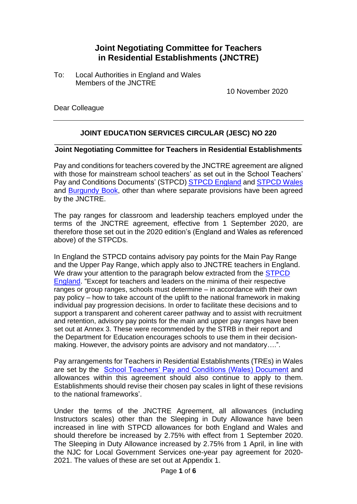## **Joint Negotiating Committee for Teachers in Residential Establishments (JNCTRE)**

To: Local Authorities in England and Wales Members of the JNCTRE

10 November 2020

Dear Colleague

## **JOINT EDUCATION SERVICES CIRCULAR (JESC) NO 220**

#### \_\_\_\_\_\_\_\_\_\_\_\_\_\_\_\_\_\_\_\_\_\_\_\_\_\_\_\_\_\_\_\_\_\_\_\_\_\_\_\_\_\_\_\_\_\_\_\_\_\_\_\_\_\_\_\_\_\_\_\_\_\_ **Joint Negotiating Committee for Teachers in Residential Establishments**

Pay and conditions for teachers covered by the JNCTRE agreement are aligned with those for mainstream school teachers' as set out in the School Teachers' Pay and Conditions Documents' (STPCD) [STPCD England](https://assets.publishing.service.gov.uk/government/uploads/system/uploads/attachment_data/file/920904/2020_STPCD_FINAL_230920.pdf) and [STPCD Wales](https://gov.wales/school-teachers-pay-and-conditions-wales-document-2020) and [Burgundy Book,](https://www.local.gov.uk/our-support/workforce-and-hr-support/education-and-young-people/school-teachers/conditions-service) other than where separate provisions have been agreed by the JNCTRE.

The pay ranges for classroom and leadership teachers employed under the terms of the JNCTRE agreement, effective from 1 September 2020, are therefore those set out in the 2020 edition's (England and Wales as referenced above) of the STPCDs.

In England the STPCD contains advisory pay points for the Main Pay Range and the Upper Pay Range, which apply also to JNCTRE teachers in England. We draw your attention to the paragraph below extracted from the **STPCD** [England.](https://assets.publishing.service.gov.uk/government/uploads/system/uploads/attachment_data/file/920904/2020_STPCD_FINAL_230920.pdf) "Except for teachers and leaders on the minima of their respective ranges or group ranges, schools must determine – in accordance with their own pay policy – how to take account of the uplift to the national framework in making individual pay progression decisions. In order to facilitate these decisions and to support a transparent and coherent career pathway and to assist with recruitment and retention, advisory pay points for the main and upper pay ranges have been set out at Annex 3. These were recommended by the STRB in their report and the Department for Education encourages schools to use them in their decisionmaking. However, the advisory points are advisory and not mandatory….".

Pay arrangements for Teachers in Residential Establishments (TREs) in Wales are set by the [School Teachers' Pay and Conditions \(Wales\) Document](https://gov.wales/school-teachers-pay-and-conditions-wales-document-2020) and allowances within this agreement should also continue to apply to them. Establishments should revise their chosen pay scales in light of these revisions to the national frameworks'.

Under the terms of the JNCTRE Agreement, all allowances (including Instructors scales) other than the Sleeping in Duty Allowance have been increased in line with STPCD allowances for both England and Wales and should therefore be increased by 2.75% with effect from 1 September 2020. The Sleeping in Duty Allowance increased by 2.75% from 1 April, in line with the NJC for Local Government Services one-year pay agreement for 2020- 2021. The values of these are set out at Appendix 1.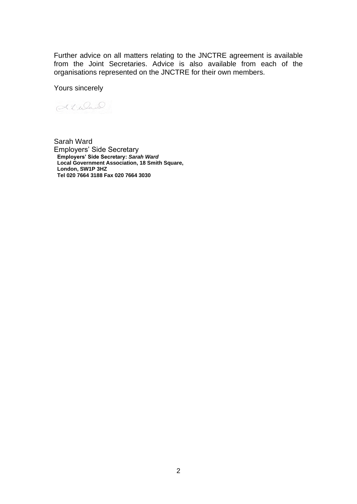Further advice on all matters relating to the JNCTRE agreement is available from the Joint Secretaries. Advice is also available from each of the organisations represented on the JNCTRE for their own members.

Yours sincerely

Kiwad

Sarah Ward Employers' Side Secretary **Employers' Side Secretary:** *Sarah Ward* **Local Government Association, 18 Smith Square, London, SW1P 3HZ Tel 020 7664 3188 Fax 020 7664 3030**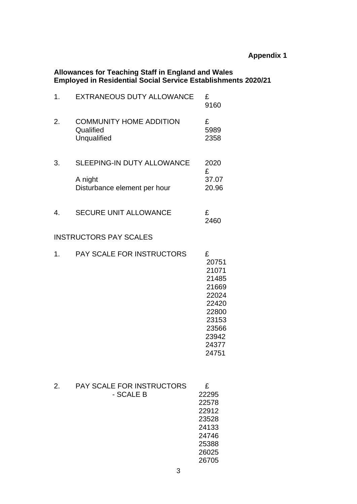#### **Allowances for Teaching Staff in England and Wales Employed in Residential Social Service Establishments 2020/21**

| 1. | EXTRANEOUS DUTY ALLOWANCE                                  | £<br>9160                                                                                                     |
|----|------------------------------------------------------------|---------------------------------------------------------------------------------------------------------------|
| 2. | <b>COMMUNITY HOME ADDITION</b><br>Qualified<br>Unqualified | £<br>5989<br>2358                                                                                             |
| 3. | <b>SLEEPING-IN DUTY ALLOWANCE</b>                          | 2020<br>£                                                                                                     |
|    | A night<br>Disturbance element per hour                    | 37.07<br>20.96                                                                                                |
| 4. | <b>SECURE UNIT ALLOWANCE</b>                               | £<br>2460                                                                                                     |
|    | <b>INSTRUCTORS PAY SCALES</b>                              |                                                                                                               |
| 1. | <b>PAY SCALE FOR INSTRUCTORS</b>                           | £<br>20751<br>21071<br>21485<br>21669<br>22024<br>22420<br>22800<br>23153<br>23566<br>23942<br>24377<br>24751 |
| 2. | <b>PAY SCALE FOR INSTRUCTORS</b><br>- SCALE B              | £<br>22295<br>22578<br>22912<br>23528<br>24133<br>24746<br>25388<br>26025<br>26705                            |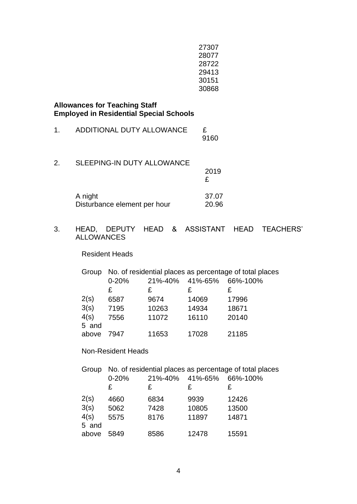| 27307 |
|-------|
| 28077 |
| 28722 |
| 29413 |
| 30151 |
| 30868 |

**Allowances for Teaching Staff Employed in Residential Special Schools**

| 1. | ADDITIONAL DUTY ALLOWANCE               | £<br>9160      |
|----|-----------------------------------------|----------------|
| 2. | <b>SLEEPING-IN DUTY ALLOWANCE</b>       | 2019<br>£      |
|    | A night<br>Disturbance element per hour | 37.07<br>20.96 |

## 3. HEAD, DEPUTY HEAD & ASSISTANT HEAD TEACHERS' ALLOWANCES

Resident Heads

| Group | No. of residential places as percentage of total places |       |                 |          |  |
|-------|---------------------------------------------------------|-------|-----------------|----------|--|
|       | $0 - 20%$                                               |       | 21%-40% 41%-65% | 66%-100% |  |
|       | £                                                       | £     | £               | £        |  |
| 2(s)  | 6587                                                    | 9674  | 14069           | 17996    |  |
| 3(s)  | 7195                                                    | 10263 | 14934           | 18671    |  |
| 4(s)  | 7556                                                    | 11072 | 16110           | 20140    |  |
| 5 and |                                                         |       |                 |          |  |
| above | 7947                                                    | 11653 | 17028           | 21185    |  |

### Non-Resident Heads

| Group | No. of residential places as percentage of total places |         |         |          |
|-------|---------------------------------------------------------|---------|---------|----------|
|       | $0 - 20%$                                               | 21%-40% | 41%-65% | 66%-100% |
|       | £                                                       | £       | £       | £        |
| 2(s)  | 4660                                                    | 6834    | 9939    | 12426    |
| 3(s)  | 5062                                                    | 7428    | 10805   | 13500    |
| 4(s)  | 5575                                                    | 8176    | 11897   | 14871    |
| 5 and |                                                         |         |         |          |
| above | 5849                                                    | 8586    | 12478   | 15591    |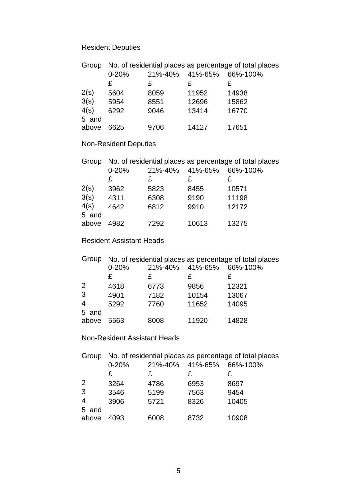# Resident Deputies

| Group | No. of residential places as percentage of total places |         |         |          |  |
|-------|---------------------------------------------------------|---------|---------|----------|--|
|       | $0 - 20%$                                               | 21%-40% | 41%-65% | 66%-100% |  |
|       | £                                                       | £       | £       | £        |  |
| 2(s)  | 5604                                                    | 8059    | 11952   | 14938    |  |
| 3(s)  | 5954                                                    | 8551    | 12696   | 15862    |  |
| 4(s)  | 6292                                                    | 9046    | 13414   | 16770    |  |
| 5 and |                                                         |         |         |          |  |
| above | 6625                                                    | 9706    | 14127   | 17651    |  |

# Non-Resident Deputies

| Group |           | No. of residential places as percentage of total places |         |          |  |
|-------|-----------|---------------------------------------------------------|---------|----------|--|
|       | $0 - 20%$ | 21%-40%                                                 | 41%-65% | 66%-100% |  |
|       | £         | £                                                       | £       | £        |  |
| 2(s)  | 3962      | 5823                                                    | 8455    | 10571    |  |
| 3(s)  | 4311      | 6308                                                    | 9190    | 11198    |  |
| 4(s)  | 4642      | 6812                                                    | 9910    | 12172    |  |
| 5 and |           |                                                         |         |          |  |
| above | 4982      | 7292                                                    | 10613   | 13275    |  |

## Resident Assistant Heads

| Group          | No. of residential places as percentage of total places |      |       |                          |  |
|----------------|---------------------------------------------------------|------|-------|--------------------------|--|
|                | $0 - 20%$                                               |      |       | 21%-40% 41%-65% 66%-100% |  |
|                | £                                                       | £    | £     | £                        |  |
| 2              | 4618                                                    | 6773 | 9856  | 12321                    |  |
| 3              | 4901                                                    | 7182 | 10154 | 13067                    |  |
| $\overline{4}$ | 5292                                                    | 7760 | 11652 | 14095                    |  |
| 5 and          |                                                         |      |       |                          |  |
| above          | 5563                                                    | 8008 | 11920 | 14828                    |  |

### Non-Resident Assistant Heads

| Group | No. of residential places as percentage of total places |         |         |          |  |
|-------|---------------------------------------------------------|---------|---------|----------|--|
|       | $0 - 20%$                                               | 21%-40% | 41%-65% | 66%-100% |  |
|       | £                                                       | £       | £       | £        |  |
| 2     | 3264                                                    | 4786    | 6953    | 8697     |  |
| 3     | 3546                                                    | 5199    | 7563    | 9454     |  |
| 4     | 3906                                                    | 5721    | 8326    | 10405    |  |
| 5 and |                                                         |         |         |          |  |
| above | 4093                                                    | 6008    | 8732    | 10908    |  |